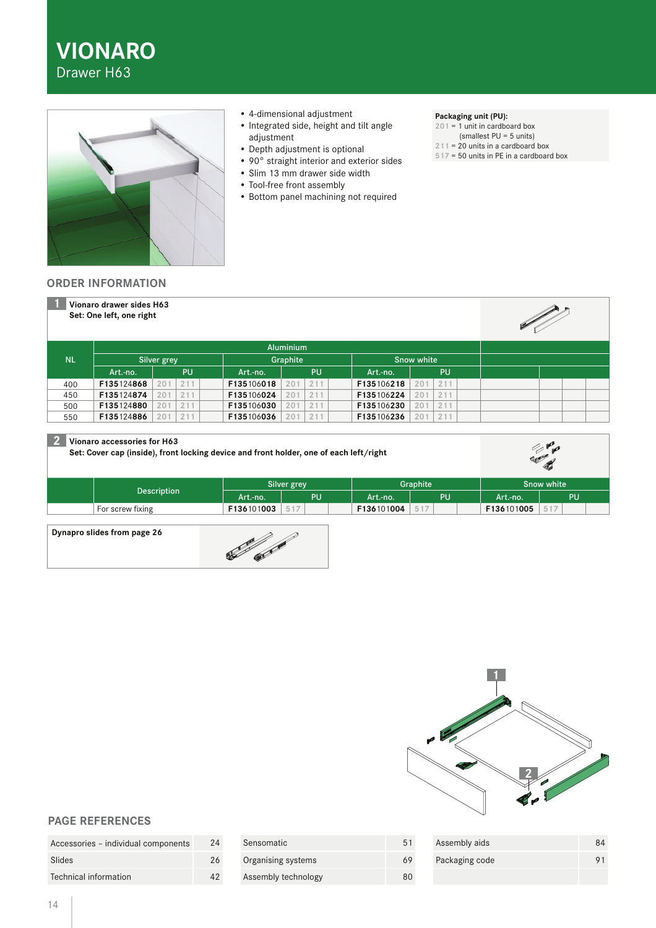**VIONARO**  Drawer H63



- 4-dimensional adjustment
- Integrated side, height and tilt angle adjustment
- Depth adjustment is optional
- 90° straight interior and exterior sides
- Slim 13 mm drawer side width
- Tool-free front assembly
- Bottom panel machining not required

### **Packaging unit (PU):**

**201** = 1 unit in cardboard box (smallest PU = 5 units)

- **211** = 20 units in a cardboard box
- **517** = 50 units in PE in a cardboard box

### **ORDER INFORMATION**

|           | Vionaro drawer sides H63<br>Set: One left, one right |            |            |                        |            |            | <b>Contract Contract Contract Contract Contract Contract Contract Contract Contract Contract Contract Contract Contract Contract Contract Contract Contract Contract Contract Contract Contract Contract Contract Contract Contr</b> |
|-----------|------------------------------------------------------|------------|------------|------------------------|------------|------------|--------------------------------------------------------------------------------------------------------------------------------------------------------------------------------------------------------------------------------------|
|           | <b>Aluminium</b>                                     |            |            |                        |            |            |                                                                                                                                                                                                                                      |
| <b>NL</b> | Silver grey                                          |            | Graphite   |                        | Snow white |            |                                                                                                                                                                                                                                      |
|           | Art.-no.                                             | <b>PU</b>  | Art.-no.   | <b>PU</b>              | Art.-no.   | PU         |                                                                                                                                                                                                                                      |
| 400       | F135124868                                           | 211<br>201 | F135106018 | 211<br>201             | F135106218 | 211<br>201 |                                                                                                                                                                                                                                      |
| 450       | F135124874                                           | 201<br>211 | F135106024 | 211<br>201             | F135106224 | 211<br>201 |                                                                                                                                                                                                                                      |
| 500       | F135124880                                           | 211<br>201 | F135106030 | 211<br>201             | F135106230 | 211<br>201 |                                                                                                                                                                                                                                      |
| 550       | F135124886                                           | 211<br>201 | F135106036 | 211<br>20 <sup>°</sup> | F135106236 | 211<br>201 |                                                                                                                                                                                                                                      |

# **2 Vionaro accessories for H63**

**Set: Cover cap (inside), front locking device and front holder, one of each left/right**

|                  | Silver grey |           | Graphite   |     | Snow white |              |
|------------------|-------------|-----------|------------|-----|------------|--------------|
| Description      | Art.-no.    | <b>PU</b> | Art.-no.   | PU  | Art.-no.   | PU           |
| For screw fixing | F136101003  | 517       | F136101004 | 517 | F136101005 | in.<br>◡ ! . |
|                  |             |           |            |     |            |              |

#### **Dynapro slides from page 26**





**Company** 

## **PAGE REFERENCES**

| Accessories - individual components | 24 |
|-------------------------------------|----|
| Slides                              | 26 |
| Technical information               | 42 |

| Sensomatic          | 51 |
|---------------------|----|
| Organising systems  |    |
| Assembly technology |    |

| Assembly aids  |                |
|----------------|----------------|
| Packaging code | Q <sub>1</sub> |
|                |                |